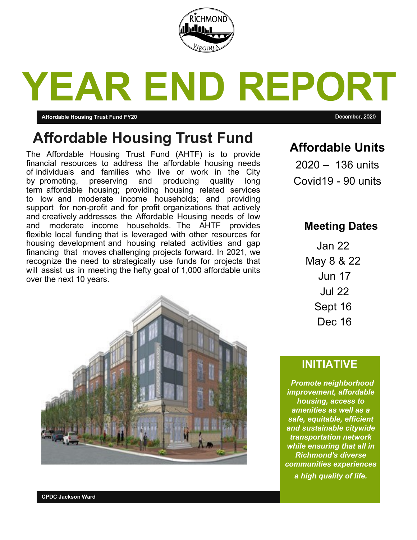

# **YEAR END REPORT**

### **Affordable Housing Trust Fund FY20** December, 2020

# **Affordable Housing Trust Fund**

The Affordable Housing Trust Fund (AHTF) is to provide financial resources to address the affordable housing needs of individuals and families who live or work in the City by promoting, preserving and producing quality long term affordable housing; providing housing related services to low and moderate income households; and providing support for non-profit and for profit organizations that actively and creatively addresses the Affordable Housing needs of low and moderate income households. The AHTF provides flexible local funding that is leveraged with other resources for housing development and housing related activities and gap financing that moves challenging projects forward. In 2021, we recognize the need to strategically use funds for projects that will assist us in meeting the hefty goal of 1,000 affordable units over the next 10 years.



### **Affordable Units**

2020 – 136 units Covid19 - 90 units

### **Meeting Dates**

Jan 22 May 8 & 22 Jun 17 Jul 22 Sept 16 Dec 16

### **INITIATIVE**

*Promote neighborhood improvement, affordable housing, access to amenities as well as a safe, equitable, efficient and sustainable citywide transportation network while ensuring that all in Richmond's diverse communities experiences a high quality of life.*

**CPDC Jackson Ward**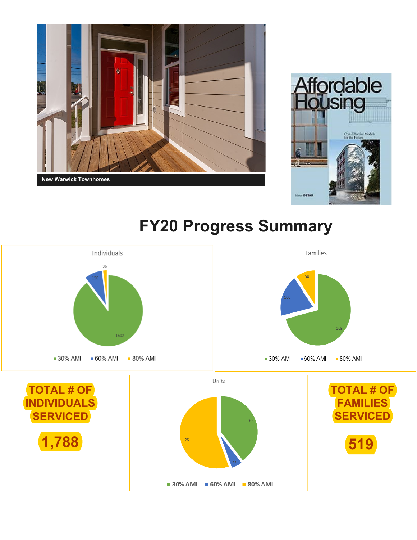



# **FY20 Progress Summary**

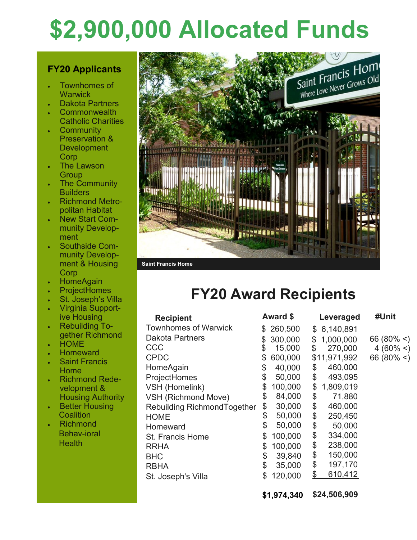# **\$2,900,000 Allocated Funds**

### **FY20 Applicants**

- Townhomes of **Warwick**
- Dakota Partners
- **Commonwealth** Catholic Charities
- **Community** Preservation & **Development** Corp
- The Lawson **Group**
- The Community **Builders**
- Richmond Metropolitan Habitat
- New Start Community Development
- Southside Community Development & Housing Corp
- **HomeAgain**
- **ProjectHomes**
- St. Joseph's Villa Virginia Support-
- ive Housing Rebuilding To-
- gether Richmond **HOME**
- **Homeward**
- Saint Francis Home
- Richmond Redevelopment & Housing Authority
- Better Housing **Coalition**
- Richmond Behav-ioral **Health**



#### **Saint Francis Home**

## **FY20 Award Recipients**

| <b>Recipient</b>            | <b>Award \$</b> |           | Leveraged |              | #Unit   |
|-----------------------------|-----------------|-----------|-----------|--------------|---------|
| <b>Townhomes of Warwick</b> |                 | \$260,500 |           | \$6,140,891  |         |
| <b>Dakota Partners</b>      | \$              | 300,000   | \$        | 1,000,000    | 66 (80% |
| CCC                         | \$              | 15,000    | \$        | 270,000      | 4 (60%  |
| <b>CPDC</b>                 | \$              | 600,000   |           | \$11,971,992 | 66 (80% |
| HomeAgain                   | \$              | 40,000    | \$        | 460,000      |         |
| ProjectHomes                | \$              | 50,000    | \$        | 493,095      |         |
| VSH (Homelink)              | \$              | 100,000   | \$        | 1,809,019    |         |
| <b>VSH (Richmond Move)</b>  | \$              | 84,000    | \$        | 71,880       |         |
| Rebuilding RichmondTogether | \$              | 30,000    | \$        | 460,000      |         |
| <b>HOME</b>                 | \$              | 50,000    | \$        | 250,450      |         |
| Homeward                    | \$              | 50,000    | \$        | 50,000       |         |
| <b>St. Francis Home</b>     | \$              | 100,000   | \$        | 334,000      |         |
| <b>RRHA</b>                 | \$              | 100,000   | \$        | 238,000      |         |
| <b>BHC</b>                  | \$              | 39,840    | \$        | 150,000      |         |
| <b>RBHA</b>                 | \$              | 35,000    | \$        | 197,170      |         |
| St. Joseph's Villa          |                 | 120,000   | \$        | 610,412      |         |
|                             |                 |           |           |              |         |

**\$1,974,340 \$24,506,909**

 $\leq$  $\leq$  $\leq$